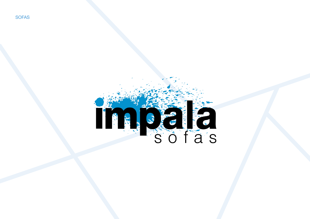

## TRESCHE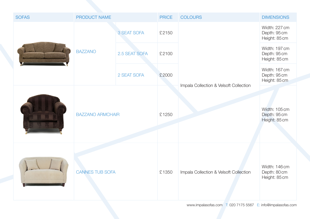| <b>SOFAS</b> | <b>PRODUCT NAME</b>     |               | <b>PRICE</b> | <b>COLOURS</b>                         | <b>DIMENSIONS</b>                              |
|--------------|-------------------------|---------------|--------------|----------------------------------------|------------------------------------------------|
|              | <b>BAZZANO</b>          | 3 SEAT SOFA   | £2150        |                                        | Width: 227 cm<br>Depth: 95 cm<br>Height: 85 cm |
|              |                         | 2.5 SEAT SOFA | £2100        |                                        | Width: 197 cm<br>Depth: 95 cm<br>Height: 85 cm |
|              |                         | 2 SEAT SOFA   | £2000        |                                        | Width: 167 cm<br>Depth: 95 cm<br>Height: 85 cm |
|              | <b>BAZZANO ARMCHAIR</b> |               | £1250        | Impala Collection & Velsoft Collection | Width: 105 cm<br>Depth: 95 cm<br>Height: 85 cm |
|              | <b>CANNES TUB SOFA</b>  |               | £1350        | Impala Collection & Velsoft Collection | Width: 146 cm<br>Depth: 80 cm<br>Height: 85 cm |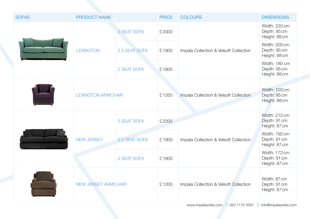| <b>SOFAS</b> | <b>PRODUCT NAME</b>        |               | <b>PRICE</b> | <b>COLOURS</b>                         | <b>DIMENSIONS</b>                              |
|--------------|----------------------------|---------------|--------------|----------------------------------------|------------------------------------------------|
|              | <b>LEXINGTON</b>           | 3 SEAT SOFA   | £2000        | Impala Collection & Velsoft Collection | Width: 220 cm<br>Depth: 95 cm<br>Height: 88 cm |
|              |                            | 2.5 SEAT SOFA | £1900        |                                        | Width: 200 cm<br>Depth: 95 cm<br>Height: 88 cm |
|              |                            | 2 SEAT SOFA   | £1800        |                                        | Width: 180 cm<br>Depth: 95 cm<br>Height: 88 cm |
|              | <b>LEXINGTON ARMCHAIR</b>  |               |              |                                        |                                                |
|              |                            |               | £1350        | Impala Collection & Velsoft Collection | Width: 103 cm<br>Depth: 95 cm<br>Height: 88 cm |
|              | <b>NEW JERSEY</b>          | 3 SEAT SOFA   | £2000        | Impala Collection & Velsoft Collection | Width: 212 cm<br>Depth: 91 cm<br>Height: 87 cm |
|              |                            | 2.5 SEAT SOFA | £1900        |                                        | Width: 192 cm<br>Depth: 91 cm<br>Height: 87 cm |
|              |                            | 2 SEAT SOFA   | £1800        |                                        | Width: 172 cm<br>Depth: 91 cm<br>Height: 87 cm |
|              | <b>NEW JERSEY ARMCHAIR</b> |               | £1200        | Impala Collection & Velsoft Collection | Width: 87 cm<br>Depth: 91 cm<br>Height: 87 cm  |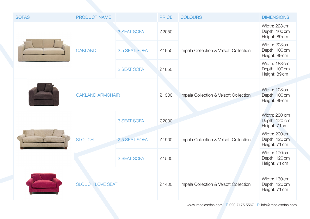| <b>SOFAS</b> | <b>PRODUCT NAME</b>     |               | <b>PRICE</b> | <b>COLOURS</b>                         | <b>DIMENSIONS</b>                               |
|--------------|-------------------------|---------------|--------------|----------------------------------------|-------------------------------------------------|
|              | <b>OAKLAND</b>          | 3 SEAT SOFA   | £2050        | Impala Collection & Velsoft Collection | Width: 223 cm<br>Depth: 100 cm<br>Height: 89 cm |
|              |                         | 2.5 SEAT SOFA | £1950        |                                        | Width: 203 cm<br>Depth: 100 cm<br>Height: 89 cm |
|              |                         | 2 SEAT SOFA   | £1850        |                                        | Width: 183 cm<br>Depth: 100 cm<br>Height: 89 cm |
|              | <b>OAKLAND ARMCHAIR</b> |               | £1300        | Impala Collection & Velsoft Collection | Width: 108 cm<br>Depth: 100 cm<br>Height: 89 cm |
|              | <b>SLOUCH</b>           | 3 SEAT SOFA   | £2000        | Impala Collection & Velsoft Collection | Width: 230 cm<br>Depth: 120 cm<br>Height: 71cm  |
|              |                         | 2.5 SEAT SOFA | £1900        |                                        | Width: 200 cm<br>Depth: 120 cm<br>Height: 71 cm |
|              |                         | 2 SEAT SOFA   | £1500        |                                        | Width: 170 cm<br>Depth: 120 cm<br>Height: 71 cm |
|              | <b>SLOUCH LOVE SEAT</b> |               | £1400        | Impala Collection & Velsoft Collection | Width: 130 cm<br>Depth: 120 cm<br>Height: 71 cm |